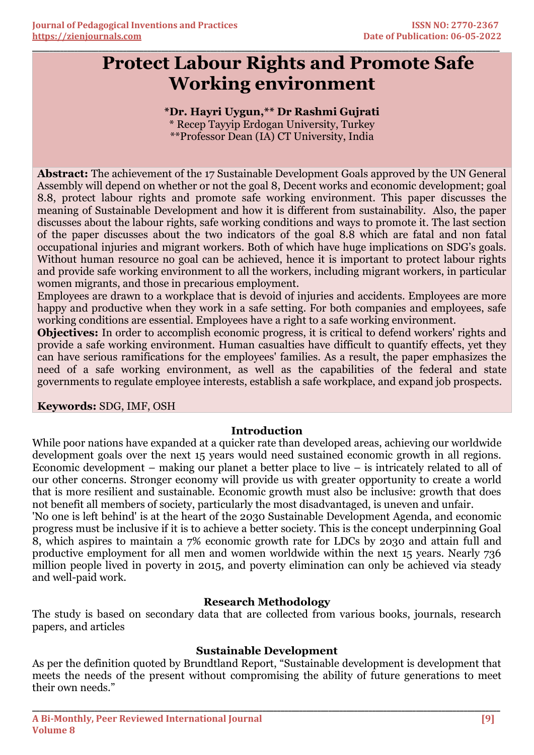# **Protect Labour Rights and Promote Safe Working environment**

## **\*Dr. Hayri Uygun,\*\* Dr Rashmi Gujrati**

**\_\_\_\_\_\_\_\_\_\_\_\_\_\_\_\_\_\_\_\_\_\_\_\_\_\_\_\_\_\_\_\_\_\_\_\_\_\_\_\_\_\_\_\_\_\_\_\_\_\_\_\_\_\_\_\_\_\_\_\_\_\_\_\_\_\_\_\_\_\_\_\_\_\_\_\_\_\_\_\_\_\_\_\_\_\_\_\_\_\_\_\_\_\_\_\_\_\_\_\_\_\_\_\_\_\_\_\_\_\_\_\_\_\_\_\_\_\_\_\_\_\_\_\_\_\_\_\_\_\_\_\_\_\_**

\* Recep Tayyip Erdogan University, Turkey \*\*Professor Dean (IA) CT University, India

**Abstract:** The achievement of the 17 Sustainable Development Goals approved by the UN General Assembly will depend on whether or not the goal 8, Decent works and economic development; goal 8.8, protect labour rights and promote safe working environment. This paper discusses the meaning of Sustainable Development and how it is different from sustainability. Also, the paper discusses about the labour rights, safe working conditions and ways to promote it. The last section of the paper discusses about the two indicators of the goal 8.8 which are fatal and non fatal occupational injuries and migrant workers. Both of which have huge implications on SDG's goals. Without human resource no goal can be achieved, hence it is important to protect labour rights and provide safe working environment to all the workers, including migrant workers, in particular women migrants, and those in precarious employment.

Employees are drawn to a workplace that is devoid of injuries and accidents. Employees are more happy and productive when they work in a safe setting. For both companies and employees, safe working conditions are essential. Employees have a right to a safe working environment.

**Objectives:** In order to accomplish economic progress, it is critical to defend workers' rights and provide a safe working environment. Human casualties have difficult to quantify effects, yet they can have serious ramifications for the employees' families. As a result, the paper emphasizes the need of a safe working environment, as well as the capabilities of the federal and state governments to regulate employee interests, establish a safe workplace, and expand job prospects.

## **Keywords:** SDG, IMF, OSH

## **Introduction**

While poor nations have expanded at a quicker rate than developed areas, achieving our worldwide development goals over the next 15 years would need sustained economic growth in all regions. Economic development – making our planet a better place to live – is intricately related to all of our other concerns. Stronger economy will provide us with greater opportunity to create a world that is more resilient and sustainable. Economic growth must also be inclusive: growth that does not benefit all members of society, particularly the most disadvantaged, is uneven and unfair.

'No one is left behind' is at the heart of the 2030 Sustainable Development Agenda, and economic progress must be inclusive if it is to achieve a better society. This is the concept underpinning Goal 8, which aspires to maintain a 7% economic growth rate for LDCs by 2030 and attain full and productive employment for all men and women worldwide within the next 15 years. Nearly 736 million people lived in poverty in 2015, and poverty elimination can only be achieved via steady and well-paid work.

## **Research Methodology**

The study is based on secondary data that are collected from various books, journals, research papers, and articles

## **Sustainable Development**

As per the definition quoted by Brundtland Report, "Sustainable development is development that meets the needs of the present without compromising the ability of future generations to meet their own needs."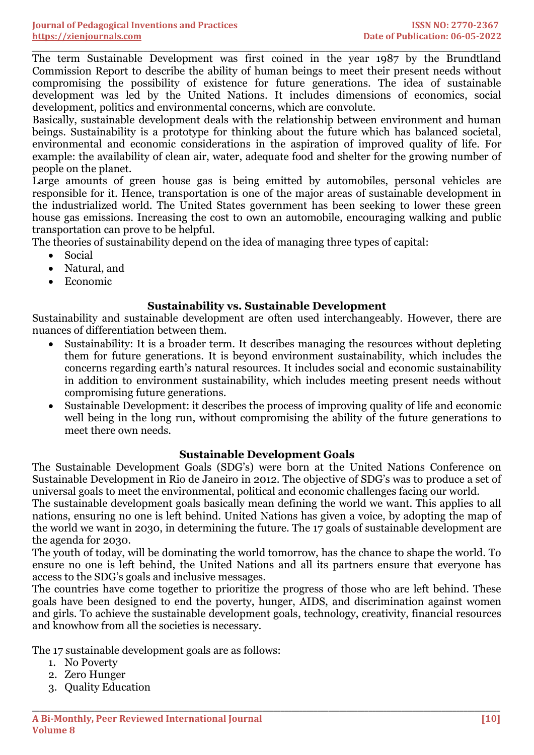**\_\_\_\_\_\_\_\_\_\_\_\_\_\_\_\_\_\_\_\_\_\_\_\_\_\_\_\_\_\_\_\_\_\_\_\_\_\_\_\_\_\_\_\_\_\_\_\_\_\_\_\_\_\_\_\_\_\_\_\_\_\_\_\_\_\_\_\_\_\_\_\_\_\_\_\_\_\_\_\_\_\_\_\_\_\_\_\_\_\_\_\_\_\_\_\_\_\_\_\_\_\_\_\_\_\_\_\_\_\_\_\_\_\_\_\_\_\_\_\_\_\_\_\_\_\_\_\_\_\_\_\_\_\_** The term Sustainable Development was first coined in the year 1987 by the Brundtland Commission Report to describe the ability of human beings to meet their present needs without compromising the possibility of existence for future generations. The idea of sustainable development was led by the United Nations. It includes dimensions of economics, social development, politics and environmental concerns, which are convolute.

Basically, sustainable development deals with the relationship between environment and human beings. Sustainability is a prototype for thinking about the future which has balanced societal, environmental and economic considerations in the aspiration of improved quality of life. For example: the availability of clean air, water, adequate food and shelter for the growing number of people on the planet.

Large amounts of green house gas is being emitted by automobiles, personal vehicles are responsible for it. Hence, transportation is one of the major areas of sustainable development in the industrialized world. The United States government has been seeking to lower these green house gas emissions. Increasing the cost to own an automobile, encouraging walking and public transportation can prove to be helpful.

The theories of sustainability depend on the idea of managing three types of capital:

- Social
- Natural, and
- Economic

## **Sustainability vs. Sustainable Development**

Sustainability and sustainable development are often used interchangeably. However, there are nuances of differentiation between them.

- Sustainability: It is a broader term. It describes managing the resources without depleting them for future generations. It is beyond environment sustainability, which includes the concerns regarding earth's natural resources. It includes social and economic sustainability in addition to environment sustainability, which includes meeting present needs without compromising future generations.
- Sustainable Development: it describes the process of improving quality of life and economic well being in the long run, without compromising the ability of the future generations to meet there own needs.

## **Sustainable Development Goals**

The Sustainable Development Goals (SDG's) were born at the United Nations Conference on Sustainable Development in Rio de Janeiro in 2012. The objective of SDG's was to produce a set of universal goals to meet the environmental, political and economic challenges facing our world.

The sustainable development goals basically mean defining the world we want. This applies to all nations, ensuring no one is left behind. United Nations has given a voice, by adopting the map of the world we want in 2030, in determining the future. The 17 goals of sustainable development are the agenda for 2030.

The youth of today, will be dominating the world tomorrow, has the chance to shape the world. To ensure no one is left behind, the United Nations and all its partners ensure that everyone has access to the SDG's goals and inclusive messages.

The countries have come together to prioritize the progress of those who are left behind. These goals have been designed to end the poverty, hunger, AIDS, and discrimination against women and girls. To achieve the sustainable development goals, technology, creativity, financial resources and knowhow from all the societies is necessary.

**\_\_\_\_\_\_\_\_\_\_\_\_\_\_\_\_\_\_\_\_\_\_\_\_\_\_\_\_\_\_\_\_\_\_\_\_\_\_\_\_\_\_\_\_\_\_\_\_\_\_\_\_\_\_\_\_\_\_\_\_\_\_\_\_\_\_\_\_\_\_\_\_\_\_\_\_\_\_\_\_\_\_\_\_\_\_\_\_\_\_\_\_\_\_\_\_\_\_\_\_\_\_\_\_\_\_\_\_\_\_\_\_\_\_\_\_\_\_\_\_\_\_\_\_\_\_\_\_**

The 17 sustainable development goals are as follows:

- 1. No Poverty
- 2. Zero Hunger
- 3. Quality Education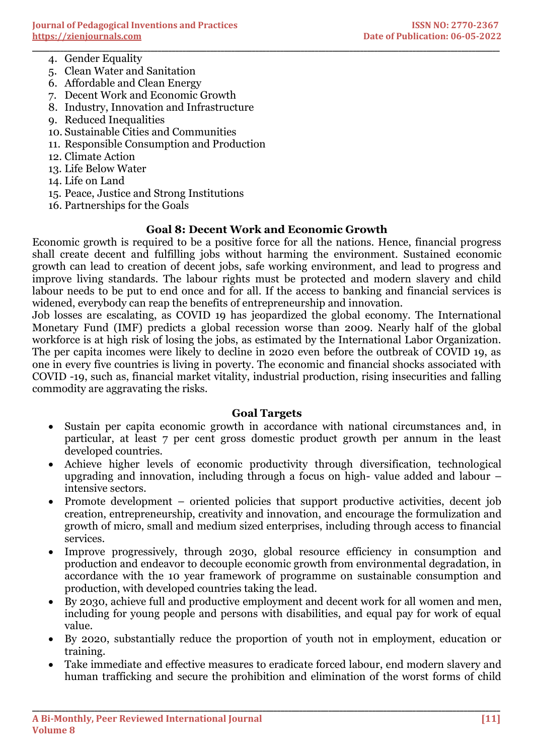- 4. Gender Equality
- 5. Clean Water and Sanitation
- 6. Affordable and Clean Energy
- 7. Decent Work and Economic Growth
- 8. Industry, Innovation and Infrastructure
- 9. Reduced Inequalities
- 10. Sustainable Cities and Communities
- 11. Responsible Consumption and Production
- 12. Climate Action
- 13. Life Below Water
- 14. Life on Land
- 15. Peace, Justice and Strong Institutions
- 16. Partnerships for the Goals

## **Goal 8: Decent Work and Economic Growth**

**\_\_\_\_\_\_\_\_\_\_\_\_\_\_\_\_\_\_\_\_\_\_\_\_\_\_\_\_\_\_\_\_\_\_\_\_\_\_\_\_\_\_\_\_\_\_\_\_\_\_\_\_\_\_\_\_\_\_\_\_\_\_\_\_\_\_\_\_\_\_\_\_\_\_\_\_\_\_\_\_\_\_\_\_\_\_\_\_\_\_\_\_\_\_\_\_\_\_\_\_\_\_\_\_\_\_\_\_\_\_\_\_\_\_\_\_\_\_\_\_\_\_\_\_\_\_\_\_\_\_\_\_\_\_**

Economic growth is required to be a positive force for all the nations. Hence, financial progress shall create decent and fulfilling jobs without harming the environment. Sustained economic growth can lead to creation of decent jobs, safe working environment, and lead to progress and improve living standards. The labour rights must be protected and modern slavery and child labour needs to be put to end once and for all. If the access to banking and financial services is widened, everybody can reap the benefits of entrepreneurship and innovation.

Job losses are escalating, as COVID 19 has jeopardized the global economy. The International Monetary Fund (IMF) predicts a global recession worse than 2009. Nearly half of the global workforce is at high risk of losing the jobs, as estimated by the International Labor Organization. The per capita incomes were likely to decline in 2020 even before the outbreak of COVID 19, as one in every five countries is living in poverty. The economic and financial shocks associated with COVID -19, such as, financial market vitality, industrial production, rising insecurities and falling commodity are aggravating the risks.

#### **Goal Targets**

- Sustain per capita economic growth in accordance with national circumstances and, in particular, at least 7 per cent gross domestic product growth per annum in the least developed countries.
- Achieve higher levels of economic productivity through diversification, technological upgrading and innovation, including through a focus on high- value added and labour – intensive sectors.
- Promote development oriented policies that support productive activities, decent job creation, entrepreneurship, creativity and innovation, and encourage the formulization and growth of micro, small and medium sized enterprises, including through access to financial services.
- Improve progressively, through 2030, global resource efficiency in consumption and production and endeavor to decouple economic growth from environmental degradation, in accordance with the 10 year framework of programme on sustainable consumption and production, with developed countries taking the lead.
- By 2030, achieve full and productive employment and decent work for all women and men, including for young people and persons with disabilities, and equal pay for work of equal value.
- By 2020, substantially reduce the proportion of youth not in employment, education or training.
- Take immediate and effective measures to eradicate forced labour, end modern slavery and human trafficking and secure the prohibition and elimination of the worst forms of child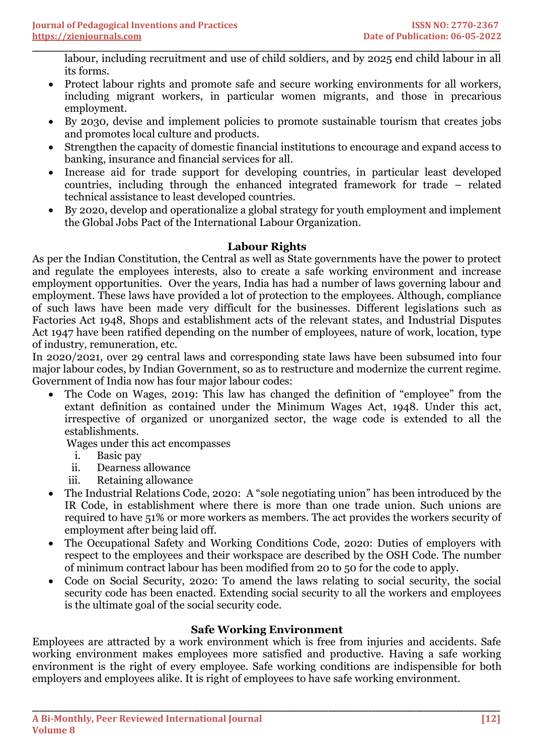**\_\_\_\_\_\_\_\_\_\_\_\_\_\_\_\_\_\_\_\_\_\_\_\_\_\_\_\_\_\_\_\_\_\_\_\_\_\_\_\_\_\_\_\_\_\_\_\_\_\_\_\_\_\_\_\_\_\_\_\_\_\_\_\_\_\_\_\_\_\_\_\_\_\_\_\_\_\_\_\_\_\_\_\_\_\_\_\_\_\_\_\_\_\_\_\_\_\_\_\_\_\_\_\_\_\_\_\_\_\_\_\_\_\_\_\_\_\_\_\_\_\_\_\_\_\_\_\_\_\_\_\_\_\_** labour, including recruitment and use of child soldiers, and by 2025 end child labour in all its forms.

- Protect labour rights and promote safe and secure working environments for all workers, including migrant workers, in particular women migrants, and those in precarious employment.
- By 2030, devise and implement policies to promote sustainable tourism that creates jobs and promotes local culture and products.
- Strengthen the capacity of domestic financial institutions to encourage and expand access to banking, insurance and financial services for all.
- Increase aid for trade support for developing countries, in particular least developed countries, including through the enhanced integrated framework for trade – related technical assistance to least developed countries.
- By 2020, develop and operationalize a global strategy for youth employment and implement the Global Jobs Pact of the International Labour Organization.

## **Labour Rights**

As per the Indian Constitution, the Central as well as State governments have the power to protect and regulate the employees interests, also to create a safe working environment and increase employment opportunities. Over the years, India has had a number of laws governing labour and employment. These laws have provided a lot of protection to the employees. Although, compliance of such laws have been made very difficult for the businesses. Different legislations such as Factories Act 1948, Shops and establishment acts of the relevant states, and Industrial Disputes Act 1947 have been ratified depending on the number of employees, nature of work, location, type of industry, remuneration, etc.

In 2020/2021, over 29 central laws and corresponding state laws have been subsumed into four major labour codes, by Indian Government, so as to restructure and modernize the current regime. Government of India now has four major labour codes:

• The Code on Wages, 2019: This law has changed the definition of "employee" from the extant definition as contained under the Minimum Wages Act, 1948. Under this act, irrespective of organized or unorganized sector, the wage code is extended to all the establishments.

Wages under this act encompasses

- i. Basic pay
- ii. Dearness allowance
- iii. Retaining allowance
- The Industrial Relations Code, 2020: A "sole negotiating union" has been introduced by the IR Code, in establishment where there is more than one trade union. Such unions are required to have 51% or more workers as members. The act provides the workers security of employment after being laid off.
- The Occupational Safety and Working Conditions Code, 2020: Duties of employers with respect to the employees and their workspace are described by the OSH Code. The number of minimum contract labour has been modified from 20 to 50 for the code to apply.
- Code on Social Security, 2020: To amend the laws relating to social security, the social security code has been enacted. Extending social security to all the workers and employees is the ultimate goal of the social security code.

## **Safe Working Environment**

Employees are attracted by a work environment which is free from injuries and accidents. Safe working environment makes employees more satisfied and productive. Having a safe working environment is the right of every employee. Safe working conditions are indispensible for both employers and employees alike. It is right of employees to have safe working environment.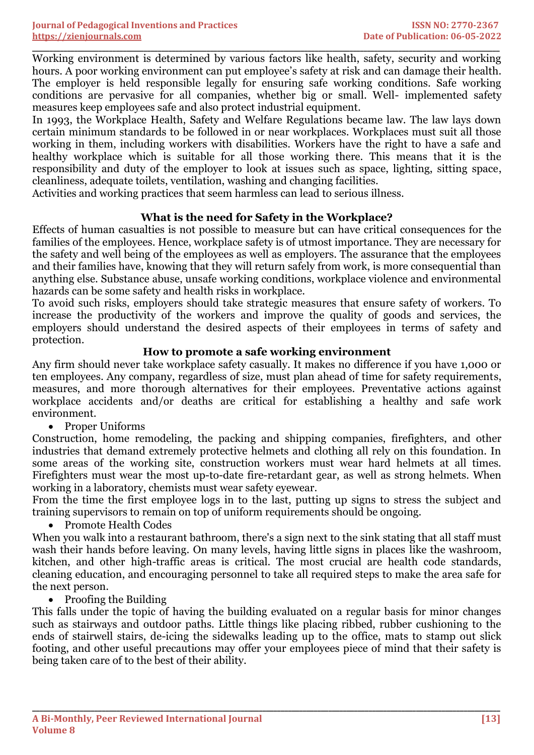**\_\_\_\_\_\_\_\_\_\_\_\_\_\_\_\_\_\_\_\_\_\_\_\_\_\_\_\_\_\_\_\_\_\_\_\_\_\_\_\_\_\_\_\_\_\_\_\_\_\_\_\_\_\_\_\_\_\_\_\_\_\_\_\_\_\_\_\_\_\_\_\_\_\_\_\_\_\_\_\_\_\_\_\_\_\_\_\_\_\_\_\_\_\_\_\_\_\_\_\_\_\_\_\_\_\_\_\_\_\_\_\_\_\_\_\_\_\_\_\_\_\_\_\_\_\_\_\_\_\_\_\_\_\_** Working environment is determined by various factors like health, safety, security and working hours. A poor working environment can put employee's safety at risk and can damage their health. The employer is held responsible legally for ensuring safe working conditions. Safe working conditions are pervasive for all companies, whether big or small. Well- implemented safety measures keep employees safe and also protect industrial equipment.

In 1993, the Workplace Health, Safety and Welfare Regulations became law. The law lays down certain minimum standards to be followed in or near workplaces. Workplaces must suit all those working in them, including workers with disabilities. Workers have the right to have a safe and healthy workplace which is suitable for all those working there. This means that it is the responsibility and duty of the employer to look at issues such as space, lighting, sitting space, cleanliness, adequate toilets, ventilation, washing and changing facilities.

Activities and working practices that seem harmless can lead to serious illness.

## **What is the need for Safety in the Workplace?**

Effects of human casualties is not possible to measure but can have critical consequences for the families of the employees. Hence, workplace safety is of utmost importance. They are necessary for the safety and well being of the employees as well as employers. The assurance that the employees and their families have, knowing that they will return safely from work, is more consequential than anything else. Substance abuse, unsafe working conditions, workplace violence and environmental hazards can be some safety and health risks in workplace.

To avoid such risks, employers should take strategic measures that ensure safety of workers. To increase the productivity of the workers and improve the quality of goods and services, the employers should understand the desired aspects of their employees in terms of safety and protection.

## **How to promote a safe working environment**

Any firm should never take workplace safety casually. It makes no difference if you have 1,000 or ten employees. Any company, regardless of size, must plan ahead of time for safety requirements, measures, and more thorough alternatives for their employees. Preventative actions against workplace accidents and/or deaths are critical for establishing a healthy and safe work environment.

• Proper Uniforms

Construction, home remodeling, the packing and shipping companies, firefighters, and other industries that demand extremely protective helmets and clothing all rely on this foundation. In some areas of the working site, construction workers must wear hard helmets at all times. Firefighters must wear the most up-to-date fire-retardant gear, as well as strong helmets. When working in a laboratory, chemists must wear safety eyewear.

From the time the first employee logs in to the last, putting up signs to stress the subject and training supervisors to remain on top of uniform requirements should be ongoing.

• Promote Health Codes

When you walk into a restaurant bathroom, there's a sign next to the sink stating that all staff must wash their hands before leaving. On many levels, having little signs in places like the washroom, kitchen, and other high-traffic areas is critical. The most crucial are health code standards, cleaning education, and encouraging personnel to take all required steps to make the area safe for the next person.

• Proofing the Building

This falls under the topic of having the building evaluated on a regular basis for minor changes such as stairways and outdoor paths. Little things like placing ribbed, rubber cushioning to the ends of stairwell stairs, de-icing the sidewalks leading up to the office, mats to stamp out slick footing, and other useful precautions may offer your employees piece of mind that their safety is being taken care of to the best of their ability.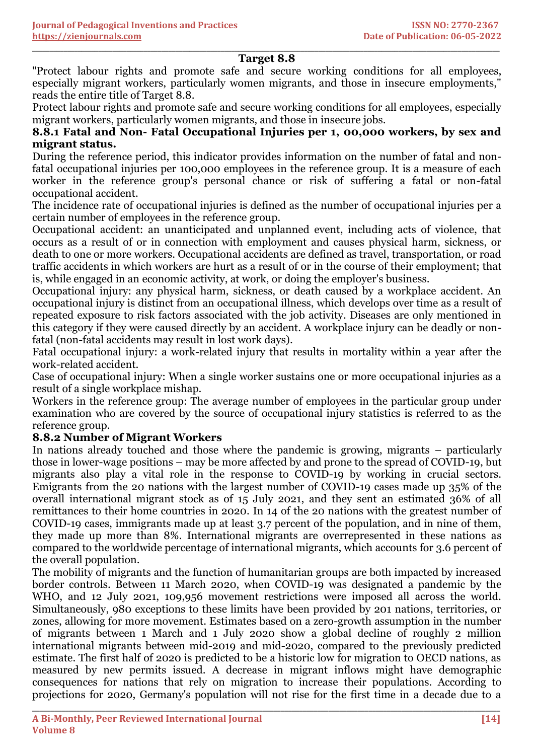#### **\_\_\_\_\_\_\_\_\_\_\_\_\_\_\_\_\_\_\_\_\_\_\_\_\_\_\_\_\_\_\_\_\_\_\_\_\_\_\_\_\_\_\_\_\_\_\_\_\_\_\_\_\_\_\_\_\_\_\_\_\_\_\_\_\_\_\_\_\_\_\_\_\_\_\_\_\_\_\_\_\_\_\_\_\_\_\_\_\_\_\_\_\_\_\_\_\_\_\_\_\_\_\_\_\_\_\_\_\_\_\_\_\_\_\_\_\_\_\_\_\_\_\_\_\_\_\_\_\_\_\_\_\_\_ Target 8.8**

"Protect labour rights and promote safe and secure working conditions for all employees, especially migrant workers, particularly women migrants, and those in insecure employments," reads the entire title of Target 8.8.

Protect labour rights and promote safe and secure working conditions for all employees, especially migrant workers, particularly women migrants, and those in insecure jobs.

## **8.8.1 Fatal and Non- Fatal Occupational Injuries per 1, 00,000 workers, by sex and migrant status.**

During the reference period, this indicator provides information on the number of fatal and nonfatal occupational injuries per 100,000 employees in the reference group. It is a measure of each worker in the reference group's personal chance or risk of suffering a fatal or non-fatal occupational accident.

The incidence rate of occupational injuries is defined as the number of occupational injuries per a certain number of employees in the reference group.

Occupational accident: an unanticipated and unplanned event, including acts of violence, that occurs as a result of or in connection with employment and causes physical harm, sickness, or death to one or more workers. Occupational accidents are defined as travel, transportation, or road traffic accidents in which workers are hurt as a result of or in the course of their employment; that is, while engaged in an economic activity, at work, or doing the employer's business.

Occupational injury: any physical harm, sickness, or death caused by a workplace accident. An occupational injury is distinct from an occupational illness, which develops over time as a result of repeated exposure to risk factors associated with the job activity. Diseases are only mentioned in this category if they were caused directly by an accident. A workplace injury can be deadly or nonfatal (non-fatal accidents may result in lost work days).

Fatal occupational injury: a work-related injury that results in mortality within a year after the work-related accident.

Case of occupational injury: When a single worker sustains one or more occupational injuries as a result of a single workplace mishap.

Workers in the reference group: The average number of employees in the particular group under examination who are covered by the source of occupational injury statistics is referred to as the reference group.

## **8.8.2 Number of Migrant Workers**

In nations already touched and those where the pandemic is growing, migrants – particularly those in lower-wage positions – may be more affected by and prone to the spread of COVID-19, but migrants also play a vital role in the response to COVID-19 by working in crucial sectors. Emigrants from the 20 nations with the largest number of COVID-19 cases made up 35% of the overall international migrant stock as of 15 July 2021, and they sent an estimated 36% of all remittances to their home countries in 2020. In 14 of the 20 nations with the greatest number of COVID-19 cases, immigrants made up at least 3.7 percent of the population, and in nine of them, they made up more than 8%. International migrants are overrepresented in these nations as compared to the worldwide percentage of international migrants, which accounts for 3.6 percent of the overall population.

The mobility of migrants and the function of humanitarian groups are both impacted by increased border controls. Between 11 March 2020, when COVID-19 was designated a pandemic by the WHO, and 12 July 2021, 109,956 movement restrictions were imposed all across the world. Simultaneously, 980 exceptions to these limits have been provided by 201 nations, territories, or zones, allowing for more movement. Estimates based on a zero-growth assumption in the number of migrants between 1 March and 1 July 2020 show a global decline of roughly 2 million international migrants between mid-2019 and mid-2020, compared to the previously predicted estimate. The first half of 2020 is predicted to be a historic low for migration to OECD nations, as measured by new permits issued. A decrease in migrant inflows might have demographic consequences for nations that rely on migration to increase their populations. According to projections for 2020, Germany's population will not rise for the first time in a decade due to a